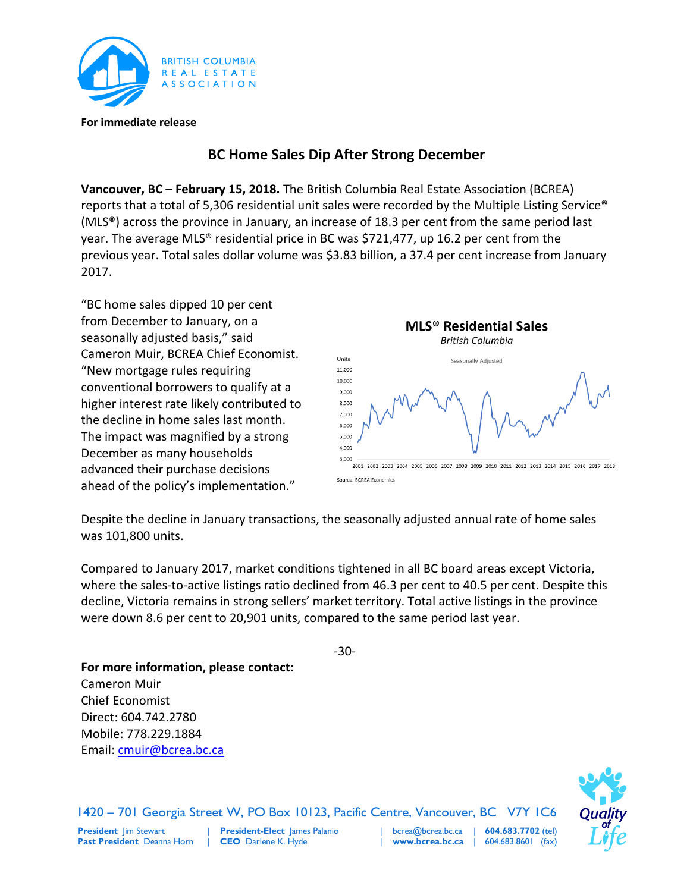

## **BC Home Sales Dip After Strong December**

**Vancouver, BC – February 15, 2018.** The British Columbia Real Estate Association (BCREA) reports that a total of 5,306 residential unit sales were recorded by the Multiple Listing Service® (MLS®) across the province in January, an increase of 18.3 per cent from the same period last year. The average MLS® residential price in BC was \$721,477, up 16.2 per cent from the previous year. Total sales dollar volume was \$3.83 billion, a 37.4 per cent increase from January 2017.

"BC home sales dipped 10 per cent from December to January, on a seasonally adjusted basis," said Cameron Muir, BCREA Chief Economist. "New mortgage rules requiring conventional borrowers to qualify at a higher interest rate likely contributed to the decline in home sales last month. The impact was magnified by a strong December as many households advanced their purchase decisions ahead of the policy's implementation."



Source: BCREA Economics

Despite the decline in January transactions, the seasonally adjusted annual rate of home sales was 101,800 units.

Compared to January 2017, market conditions tightened in all BC board areas except Victoria, where the sales-to-active listings ratio declined from 46.3 per cent to 40.5 per cent. Despite this decline, Victoria remains in strong sellers' market territory. Total active listings in the province were down 8.6 per cent to 20,901 units, compared to the same period last year.

-30-

|

**For more information, please contact:** Cameron Muir Chief Economist Direct: 604.742.2780 Mobile: 778.229.1884 Email: [cmuir@bcrea.bc.ca](mailto:cmuir@bcrea.bc.ca)

|



1420 – 701 Georgia Street W, PO Box 10123, Pacific Centre, Vancouver, BC V7Y 1C6

**President** Jim Stewart **Past President** Deanna Horn

**President-Elect** James Palanio **CEO** Darlene K. Hyde

bcrea@bcrea.bc.ca **www.bcrea.bc.ca** | | **604.683.7702** (tel) 604.683.8601 (fax)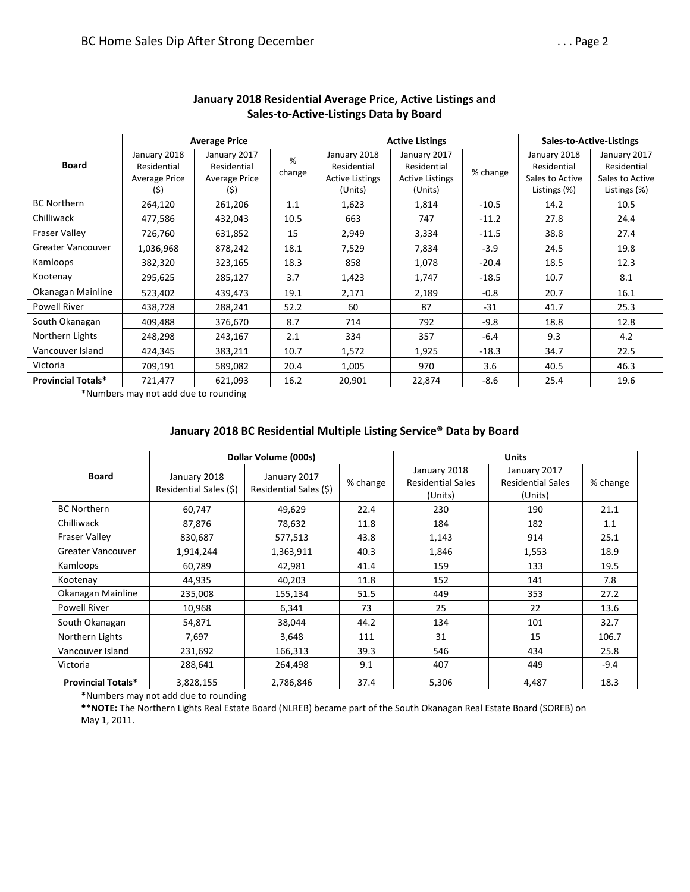| <b>Board</b>              | <b>Average Price</b>                                |                                                     |             |                                                                  | <b>Active Listings</b>                                           | Sales-to-Active-Listings |                                                                |                                                                |
|---------------------------|-----------------------------------------------------|-----------------------------------------------------|-------------|------------------------------------------------------------------|------------------------------------------------------------------|--------------------------|----------------------------------------------------------------|----------------------------------------------------------------|
|                           | January 2018<br>Residential<br>Average Price<br>(5) | January 2017<br>Residential<br>Average Price<br>(5) | %<br>change | January 2018<br>Residential<br><b>Active Listings</b><br>(Units) | January 2017<br>Residential<br><b>Active Listings</b><br>(Units) | % change                 | January 2018<br>Residential<br>Sales to Active<br>Listings (%) | January 2017<br>Residential<br>Sales to Active<br>Listings (%) |
| <b>BC Northern</b>        | 264,120                                             | 261,206                                             | 1.1         | 1,623                                                            | 1,814                                                            | $-10.5$                  | 14.2                                                           | 10.5                                                           |
| Chilliwack                | 477,586                                             | 432,043                                             | 10.5        | 663                                                              | 747                                                              | $-11.2$                  | 27.8                                                           | 24.4                                                           |
| <b>Fraser Valley</b>      | 726,760                                             | 631,852                                             | 15          | 2,949                                                            | 3,334                                                            | $-11.5$                  | 38.8                                                           | 27.4                                                           |
| Greater Vancouver         | 1,036,968                                           | 878,242                                             | 18.1        | 7,529                                                            | 7,834                                                            | $-3.9$                   | 24.5                                                           | 19.8                                                           |
| Kamloops                  | 382,320                                             | 323,165                                             | 18.3        | 858                                                              | 1,078                                                            | $-20.4$                  | 18.5                                                           | 12.3                                                           |
| Kootenay                  | 295,625                                             | 285,127                                             | 3.7         | 1,423                                                            | 1,747                                                            | $-18.5$                  | 10.7                                                           | 8.1                                                            |
| Okanagan Mainline         | 523,402                                             | 439,473                                             | 19.1        | 2,171                                                            | 2,189                                                            | $-0.8$                   | 20.7                                                           | 16.1                                                           |
| <b>Powell River</b>       | 438,728                                             | 288,241                                             | 52.2        | 60                                                               | 87                                                               | $-31$                    |                                                                | 25.3                                                           |
| South Okanagan            | 409,488                                             | 376,670                                             | 8.7         | 714                                                              | 792                                                              | $-9.8$                   | 18.8                                                           | 12.8                                                           |
| Northern Lights           | 248,298                                             | 243,167                                             | 2.1         | 334                                                              | 357                                                              | $-6.4$                   | 9.3                                                            | 4.2                                                            |
| Vancouver Island          | 424,345                                             | 383,211                                             | 10.7        | 1,572                                                            | 1,925                                                            | $-18.3$                  | 34.7                                                           | 22.5                                                           |
| Victoria                  | 709,191                                             | 589,082                                             | 20.4        | 1,005                                                            | 970                                                              | 3.6                      | 40.5                                                           | 46.3                                                           |
| <b>Provincial Totals*</b> | 721,477                                             | 621,093                                             | 16.2        | 20,901                                                           | 22,874                                                           | -8.6                     | 25.4                                                           | 19.6                                                           |

## **January 2018 Residential Average Price, Active Listings and Sales-to-Active-Listings Data by Board**

\*Numbers may not add due to rounding

## **January 2018 BC Residential Multiple Listing Service® Data by Board**

|                           |                                        | Dollar Volume (000s)                   |          | <b>Units</b>                                        |                                                     |          |  |  |
|---------------------------|----------------------------------------|----------------------------------------|----------|-----------------------------------------------------|-----------------------------------------------------|----------|--|--|
| <b>Board</b>              | January 2018<br>Residential Sales (\$) | January 2017<br>Residential Sales (\$) | % change | January 2018<br><b>Residential Sales</b><br>(Units) | January 2017<br><b>Residential Sales</b><br>(Units) | % change |  |  |
| <b>BC Northern</b>        | 60,747                                 | 49,629                                 | 22.4     | 230                                                 | 190                                                 | 21.1     |  |  |
| Chilliwack                | 87,876                                 | 78,632                                 | 11.8     | 184                                                 | 182                                                 | 1.1      |  |  |
| <b>Fraser Valley</b>      | 830,687                                | 577,513                                | 43.8     | 1,143                                               | 914                                                 | 25.1     |  |  |
| <b>Greater Vancouver</b>  | 1,914,244                              | 1,363,911                              | 40.3     | 1,846                                               | 1,553                                               | 18.9     |  |  |
| Kamloops                  | 60,789                                 | 42,981                                 | 41.4     | 159                                                 | 133                                                 | 19.5     |  |  |
| Kootenay                  | 44,935                                 | 40,203                                 | 11.8     | 152                                                 | 141                                                 | 7.8      |  |  |
| Okanagan Mainline         | 235,008                                | 155,134                                | 51.5     | 449                                                 | 353                                                 | 27.2     |  |  |
| <b>Powell River</b>       | 10,968                                 | 6,341                                  | 73       | 25                                                  | 22                                                  | 13.6     |  |  |
| South Okanagan            | 54,871                                 | 38,044                                 | 44.2     | 134                                                 | 101                                                 | 32.7     |  |  |
| Northern Lights           | 7,697                                  | 3,648                                  | 111      | 31                                                  | 15                                                  | 106.7    |  |  |
| Vancouver Island          | 231,692                                | 166,313                                | 39.3     | 546                                                 | 434                                                 | 25.8     |  |  |
| Victoria                  | 288,641                                | 264,498                                | 9.1      | 407                                                 | 449                                                 | $-9.4$   |  |  |
| <b>Provincial Totals*</b> | 3,828,155                              | 2,786,846                              | 37.4     | 5,306                                               | 4,487                                               | 18.3     |  |  |

\*Numbers may not add due to rounding

**\*\*NOTE:** The Northern Lights Real Estate Board (NLREB) became part of the South Okanagan Real Estate Board (SOREB) on May 1, 2011.